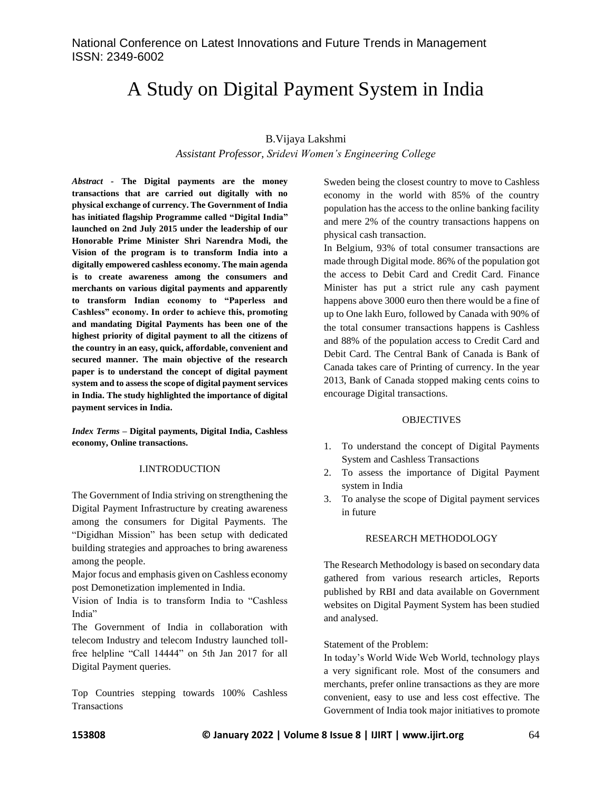# A Study on Digital Payment System in India

### B.Vijaya Lakshmi

*Assistant Professor, Sridevi Women's Engineering College*

*Abstract -* **The Digital payments are the money transactions that are carried out digitally with no physical exchange of currency. The Government of India has initiated flagship Programme called "Digital India" launched on 2nd July 2015 under the leadership of our Honorable Prime Minister Shri Narendra Modi, the Vision of the program is to transform India into a digitally empowered cashless economy. The main agenda is to create awareness among the consumers and merchants on various digital payments and apparently to transform Indian economy to "Paperless and Cashless" economy. In order to achieve this, promoting and mandating Digital Payments has been one of the highest priority of digital payment to all the citizens of the country in an easy, quick, affordable, convenient and secured manner. The main objective of the research paper is to understand the concept of digital payment system and to assess the scope of digital payment services in India. The study highlighted the importance of digital payment services in India.**

*Index Terms –* **Digital payments, Digital India, Cashless economy, Online transactions.**

### I.INTRODUCTION

The Government of India striving on strengthening the Digital Payment Infrastructure by creating awareness among the consumers for Digital Payments. The "Digidhan Mission" has been setup with dedicated building strategies and approaches to bring awareness among the people.

Major focus and emphasis given on Cashless economy post Demonetization implemented in India.

Vision of India is to transform India to "Cashless India"

The Government of India in collaboration with telecom Industry and telecom Industry launched tollfree helpline "Call 14444" on 5th Jan 2017 for all Digital Payment queries.

Top Countries stepping towards 100% Cashless **Transactions** 

Sweden being the closest country to move to Cashless economy in the world with 85% of the country population has the access to the online banking facility and mere 2% of the country transactions happens on physical cash transaction.

In Belgium, 93% of total consumer transactions are made through Digital mode. 86% of the population got the access to Debit Card and Credit Card. Finance Minister has put a strict rule any cash payment happens above 3000 euro then there would be a fine of up to One lakh Euro, followed by Canada with 90% of the total consumer transactions happens is Cashless and 88% of the population access to Credit Card and Debit Card. The Central Bank of Canada is Bank of Canada takes care of Printing of currency. In the year 2013, Bank of Canada stopped making cents coins to encourage Digital transactions.

### **OBJECTIVES**

- 1. To understand the concept of Digital Payments System and Cashless Transactions
- 2. To assess the importance of Digital Payment system in India
- 3. To analyse the scope of Digital payment services in future

### RESEARCH METHODOLOGY

The Research Methodology is based on secondary data gathered from various research articles, Reports published by RBI and data available on Government websites on Digital Payment System has been studied and analysed.

Statement of the Problem:

In today's World Wide Web World, technology plays a very significant role. Most of the consumers and merchants, prefer online transactions as they are more convenient, easy to use and less cost effective. The Government of India took major initiatives to promote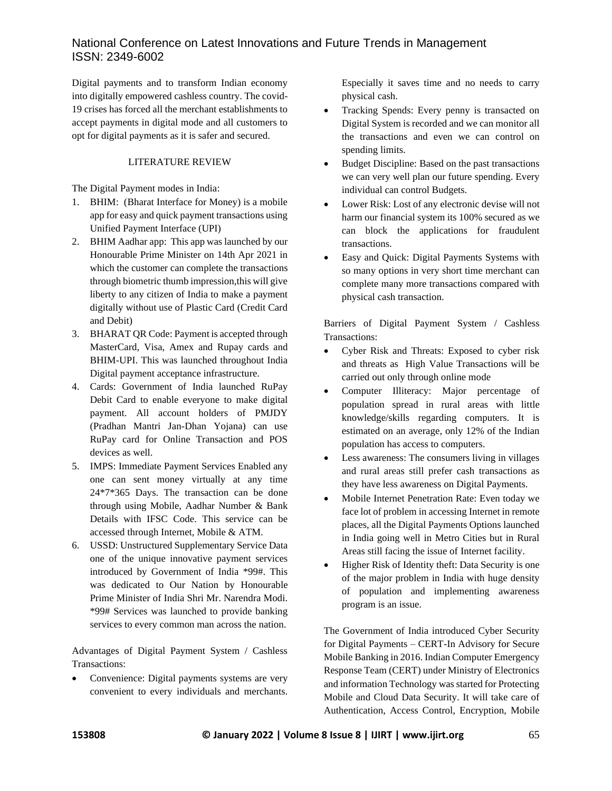Digital payments and to transform Indian economy into digitally empowered cashless country. The covid-19 crises has forced all the merchant establishments to accept payments in digital mode and all customers to opt for digital payments as it is safer and secured.

### LITERATURE REVIEW

The Digital Payment modes in India:

- 1. BHIM: (Bharat Interface for Money) is a mobile app for easy and quick payment transactions using Unified Payment Interface (UPI)
- 2. BHIM Aadhar app: This app was launched by our Honourable Prime Minister on 14th Apr 2021 in which the customer can complete the transactions through biometric thumb impression,this will give liberty to any citizen of India to make a payment digitally without use of Plastic Card (Credit Card and Debit)
- 3. BHARAT QR Code: Payment is accepted through MasterCard, Visa, Amex and Rupay cards and BHIM-UPI. This was launched throughout India Digital payment acceptance infrastructure.
- 4. Cards: Government of India launched RuPay Debit Card to enable everyone to make digital payment. All account holders of PMJDY (Pradhan Mantri Jan-Dhan Yojana) can use RuPay card for Online Transaction and POS devices as well.
- 5. IMPS: Immediate Payment Services Enabled any one can sent money virtually at any time 24\*7\*365 Days. The transaction can be done through using Mobile, Aadhar Number & Bank Details with IFSC Code. This service can be accessed through Internet, Mobile & ATM.
- 6. USSD: Unstructured Supplementary Service Data one of the unique innovative payment services introduced by Government of India \*99#. This was dedicated to Our Nation by Honourable Prime Minister of India Shri Mr. Narendra Modi. \*99# Services was launched to provide banking services to every common man across the nation.

Advantages of Digital Payment System / Cashless Transactions:

Convenience: Digital payments systems are very convenient to every individuals and merchants. Especially it saves time and no needs to carry physical cash.

- Tracking Spends: Every penny is transacted on Digital System is recorded and we can monitor all the transactions and even we can control on spending limits.
- Budget Discipline: Based on the past transactions we can very well plan our future spending. Every individual can control Budgets.
- Lower Risk: Lost of any electronic devise will not harm our financial system its 100% secured as we can block the applications for fraudulent transactions.
- Easy and Quick: Digital Payments Systems with so many options in very short time merchant can complete many more transactions compared with physical cash transaction.

Barriers of Digital Payment System / Cashless Transactions:

- Cyber Risk and Threats: Exposed to cyber risk and threats as High Value Transactions will be carried out only through online mode
- Computer Illiteracy: Major percentage of population spread in rural areas with little knowledge/skills regarding computers. It is estimated on an average, only 12% of the Indian population has access to computers.
- Less awareness: The consumers living in villages and rural areas still prefer cash transactions as they have less awareness on Digital Payments.
- Mobile Internet Penetration Rate: Even today we face lot of problem in accessing Internet in remote places, all the Digital Payments Options launched in India going well in Metro Cities but in Rural Areas still facing the issue of Internet facility.
- Higher Risk of Identity theft: Data Security is one of the major problem in India with huge density of population and implementing awareness program is an issue.

The Government of India introduced Cyber Security for Digital Payments – CERT-In Advisory for Secure Mobile Banking in 2016. Indian Computer Emergency Response Team (CERT) under Ministry of Electronics and information Technology was started for Protecting Mobile and Cloud Data Security. It will take care of Authentication, Access Control, Encryption, Mobile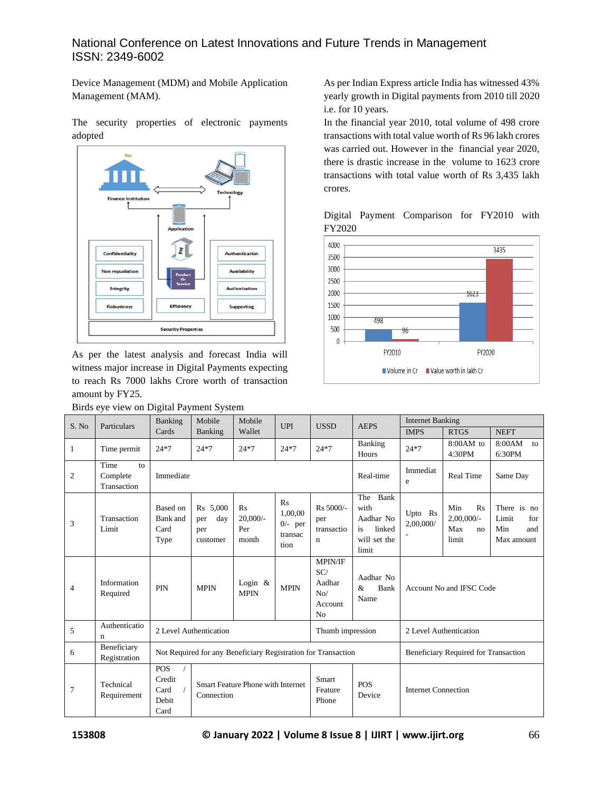Device Management (MDM) and Mobile Application Management (MAM).

The security properties of electronic payments adopted



As per the latest analysis and forecast India will witness major increase in Digital Payments expecting to reach Rs 7000 lakhs Crore worth of transaction amount by FY25.

Birds eye view on Digital Payment System

As per Indian Express article India has witnessed 43% yearly growth in Digital payments from 2010 till 2020 i.e. for 10 years.

In the financial year 2010, total volume of 498 crore transactions with total value worth of Rs 96 lakh crores was carried out. However in the financial year 2020, there is drastic increase in the volume to 1623 crore transactions with total value worth of Rs 3,435 lakh crores.

Digital Payment Comparison for FY2010 with FY2020



| S. No          | Particulars                           | Banking                                                       | Mobile                                                 | Mobile<br>Wallet                 | UPI                                           | <b>USSD</b>                                                  | <b>AEPS</b>                                                               | <b>Internet Banking</b>              |                                                  |                                                         |
|----------------|---------------------------------------|---------------------------------------------------------------|--------------------------------------------------------|----------------------------------|-----------------------------------------------|--------------------------------------------------------------|---------------------------------------------------------------------------|--------------------------------------|--------------------------------------------------|---------------------------------------------------------|
|                |                                       | Cards                                                         | Banking                                                |                                  |                                               |                                                              |                                                                           | <b>IMPS</b>                          | <b>RTGS</b>                                      | <b>NEFT</b>                                             |
| $\mathbf{1}$   | Time permit                           | $24*7$                                                        | $24*7$                                                 | $24*7$                           | $24*7$                                        | $24*7$                                                       | Banking<br>Hours                                                          | $24*7$                               | $8:00AM$ to<br>4:30PM                            | 8:00AM<br>to<br>6:30PM                                  |
| $\mathfrak{2}$ | Time<br>to<br>Complete<br>Transaction | Immediate                                                     |                                                        |                                  |                                               |                                                              | Real-time                                                                 | Immediat<br>e                        | <b>Real Time</b>                                 | Same Day                                                |
| 3              | Transaction<br>Limit                  | Based on<br>Bank and<br>Card<br>Type                          | Rs 5,000<br>day<br>per<br>per<br>customer              | Rs<br>$20,000/-$<br>Per<br>month | Rs<br>1.00.00<br>$0/-$ per<br>transac<br>tion | Rs 5000/-<br>per<br>transactio<br>$\mathbf n$                | Bank<br>The<br>with<br>Aadhar No<br>linked<br>is<br>will set the<br>limit | Upto Rs<br>2,00,000/                 | Min<br>Rs<br>$2,00,000/$ -<br>Max<br>no<br>limit | There is no<br>Limit<br>for<br>Min<br>and<br>Max amount |
| $\overline{4}$ | Information<br>Required               | <b>PIN</b>                                                    | <b>MPIN</b>                                            | Login $\&$<br><b>MPIN</b>        | <b>MPIN</b>                                   | MPIN/IF<br>SC/<br>Aadhar<br>No/<br>Account<br>N <sub>0</sub> | Aadhar No<br>Bank<br>&<br>Name                                            | Account No and IFSC Code             |                                                  |                                                         |
| 5              | Authenticatio<br>n                    | 2 Level Authentication                                        |                                                        |                                  |                                               | Thumb impression                                             |                                                                           | 2 Level Authentication               |                                                  |                                                         |
| 6              | Beneficiary<br>Registration           | Not Required for any Beneficiary Registration for Transaction |                                                        |                                  |                                               |                                                              |                                                                           | Beneficiary Required for Transaction |                                                  |                                                         |
| 7              | Technical<br>Requirement              | <b>POS</b><br>Credit<br>Card<br>Debit<br>Card                 | <b>Smart Feature Phone with Internet</b><br>Connection |                                  |                                               | Smart<br>Feature<br>Phone                                    | <b>POS</b><br>Device                                                      | <b>Internet Connection</b>           |                                                  |                                                         |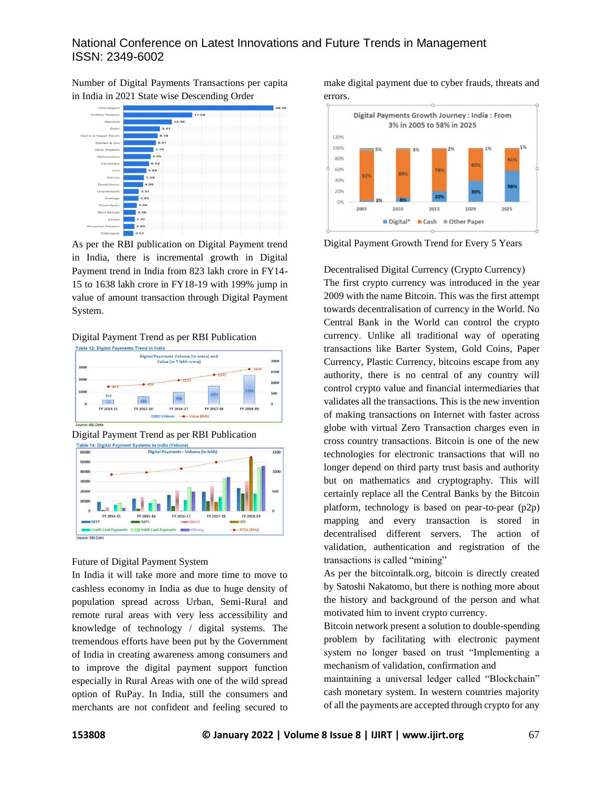Number of Digital Payments Transactions per capita in India in 2021 State wise Descending Order



As per the RBI publication on Digital Payment trend in India, there is incremental growth in Digital Payment trend in India from 823 lakh crore in FY14- 15 to 1638 lakh crore in FY18-19 with 199% jump in value of amount transaction through Digital Payment System.

### Digital Payment Trend as per RBI Publication



Digital Payment Trend as per RBI Publication



### Future of Digital Payment System

In India it will take more and more time to move to cashless economy in India as due to huge density of population spread across Urban, Semi-Rural and remote rural areas with very less accessibility and knowledge of technology / digital systems. The tremendous efforts have been put by the Government of India in creating awareness among consumers and to improve the digital payment support function especially in Rural Areas with one of the wild spread option of RuPay. In India, still the consumers and merchants are not confident and feeling secured to make digital payment due to cyber frauds, threats and errors.



Digital Payment Growth Trend for Every 5 Years

Decentralised Digital Currency (Crypto Currency) The first crypto currency was introduced in the year 2009 with the name Bitcoin. This was the first attempt towards decentralisation of currency in the World. No Central Bank in the World can control the crypto currency. Unlike all traditional way of operating transactions like Barter System, Gold Coins, Paper Currency, Plastic Currency, bitcoins escape from any authority, there is no central of any country will control crypto value and financial intermediaries that validates all the transactions. This is the new invention of making transactions on Internet with faster across globe with virtual Zero Transaction charges even in cross country transactions. Bitcoin is one of the new technologies for electronic transactions that will no longer depend on third party trust basis and authority but on mathematics and cryptography. This will certainly replace all the Central Banks by the Bitcoin platform, technology is based on pear-to-pear (p2p) mapping and every transaction is stored in decentralised different servers. The action of validation, authentication and registration of the transactions is called "mining"

As per the bitcointalk.org, bitcoin is directly created by Satoshi Nakatomo, but there is nothing more about the history and background of the person and what motivated him to invent crypto currency.

Bitcoin network present a solution to double-spending problem by facilitating with electronic payment system no longer based on trust "Implementing a mechanism of validation, confirmation and

maintaining a universal ledger called "Blockchain" cash monetary system. In western countries majority of all the payments are accepted through crypto for any